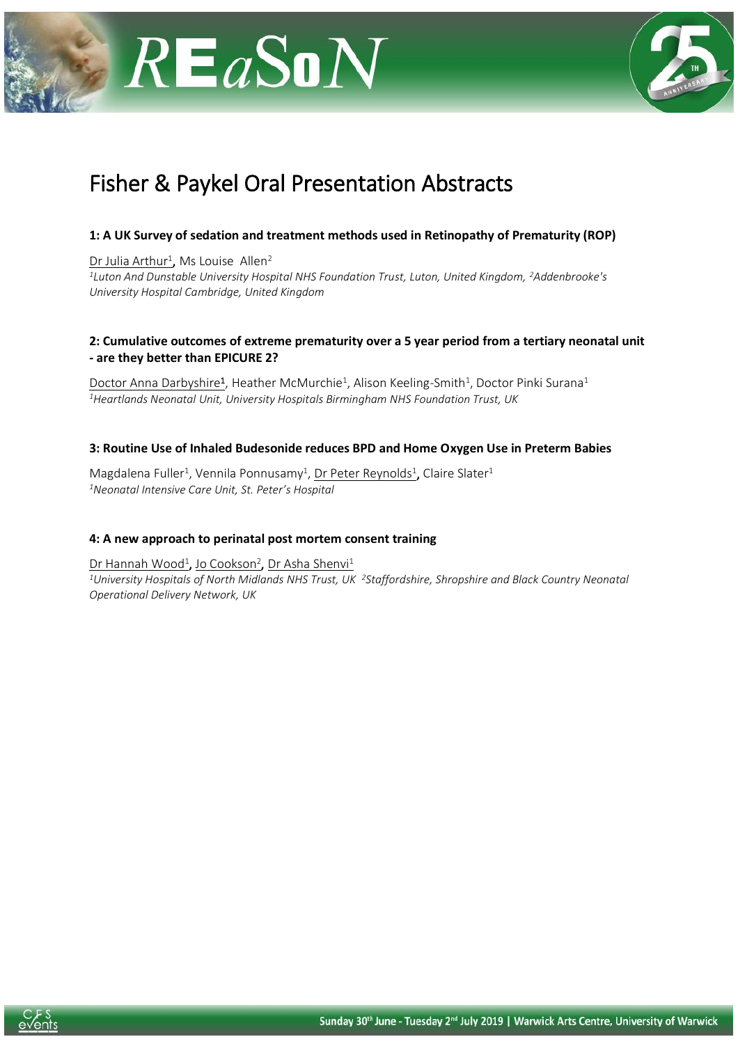



# Fisher & Paykel Oral Presentation Abstracts

## **1: A UK Survey of sedation and treatment methods used in Retinopathy of Prematurity (ROP)**

Dr Julia Arthur<sup>1</sup>, Ms Louise Allen<sup>2</sup> *<sup>1</sup>Luton And Dunstable University Hospital NHS Foundation Trust, Luton, United Kingdom, <sup>2</sup>Addenbrooke's University Hospital Cambridge, United Kingdom* 

## **2: Cumulative outcomes of extreme prematurity over a 5 year period from a tertiary neonatal unit - are they better than EPICURE 2?**

Doctor Anna Darbyshire<sup>1</sup>, Heather McMurchie<sup>1</sup>, Alison Keeling-Smith<sup>1</sup>, Doctor Pinki Surana<sup>1</sup> *<sup>1</sup>Heartlands Neonatal Unit, University Hospitals Birmingham NHS Foundation Trust, UK*

## **3: Routine Use of Inhaled Budesonide reduces BPD and Home Oxygen Use in Preterm Babies**

Magdalena Fuller<sup>1</sup>, Vennila Ponnusamy<sup>1</sup>, Dr Peter Reynolds<sup>1</sup>, Claire Slater<sup>1</sup> *<sup>1</sup>Neonatal Intensive Care Unit, St. Peter's Hospital*

## **4: A new approach to perinatal post mortem consent training**

Dr Hannah Wood<sup>1</sup>, Jo Cookson<sup>2</sup>, Dr Asha Shenvi<sup>1</sup> *<sup>1</sup>University Hospitals of North Midlands NHS Trust, UK <sup>2</sup>Staffordshire, Shropshire and Black Country Neonatal Operational Delivery Network, UK*

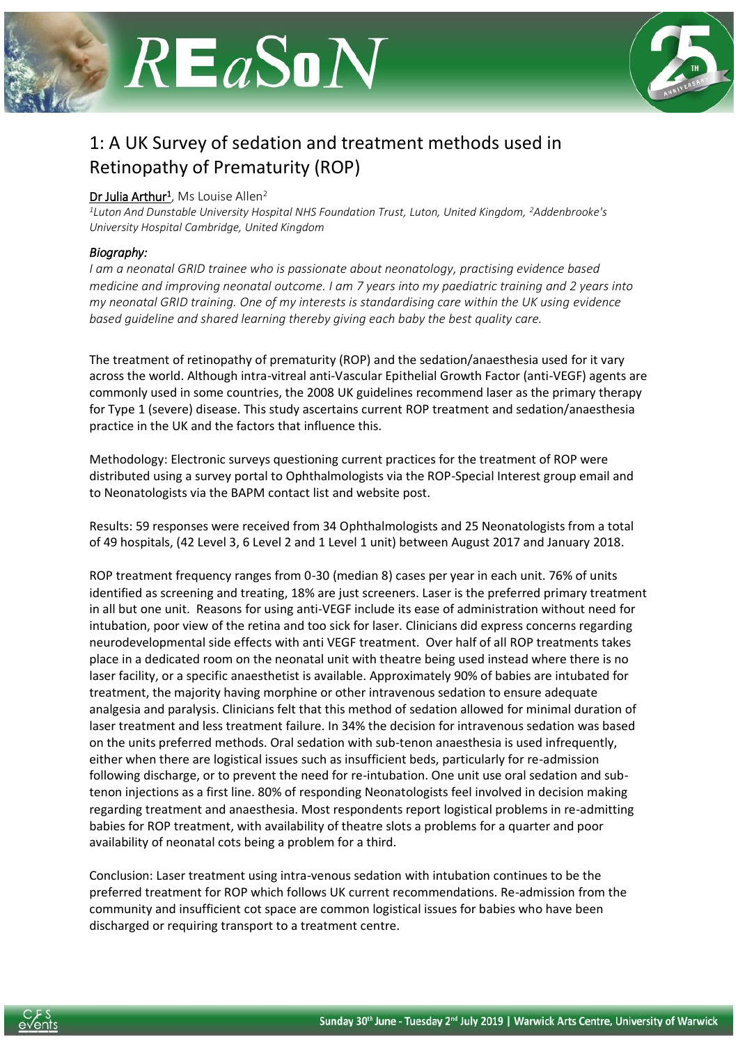



## 1: A UK Survey of sedation and treatment methods used in Retinopathy of Prematurity (ROP)

## Dr Julia Arthur<sup>1</sup>, Ms Louise Allen<sup>2</sup>

*<sup>1</sup>Luton And Dunstable University Hospital NHS Foundation Trust, Luton, United Kingdom, <sup>2</sup>Addenbrooke's University Hospital Cambridge, United Kingdom* 

## *Biography:*

*I am a neonatal GRID trainee who is passionate about neonatology, practising evidence based medicine and improving neonatal outcome. I am 7 years into my paediatric training and 2 years into my neonatal GRID training. One of my interests is standardising care within the UK using evidence based guideline and shared learning thereby giving each baby the best quality care.* 

The treatment of retinopathy of prematurity (ROP) and the sedation/anaesthesia used for it vary across the world. Although intra-vitreal anti-Vascular Epithelial Growth Factor (anti-VEGF) agents are commonly used in some countries, the 2008 UK guidelines recommend laser as the primary therapy for Type 1 (severe) disease. This study ascertains current ROP treatment and sedation/anaesthesia practice in the UK and the factors that influence this.

Methodology: Electronic surveys questioning current practices for the treatment of ROP were distributed using a survey portal to Ophthalmologists via the ROP-Special Interest group email and to Neonatologists via the BAPM contact list and website post.

Results: 59 responses were received from 34 Ophthalmologists and 25 Neonatologists from a total of 49 hospitals, (42 Level 3, 6 Level 2 and 1 Level 1 unit) between August 2017 and January 2018.

ROP treatment frequency ranges from 0-30 (median 8) cases per year in each unit. 76% of units identified as screening and treating, 18% are just screeners. Laser is the preferred primary treatment in all but one unit. Reasons for using anti-VEGF include its ease of administration without need for intubation, poor view of the retina and too sick for laser. Clinicians did express concerns regarding neurodevelopmental side effects with anti VEGF treatment. Over half of all ROP treatments takes place in a dedicated room on the neonatal unit with theatre being used instead where there is no laser facility, or a specific anaesthetist is available. Approximately 90% of babies are intubated for treatment, the majority having morphine or other intravenous sedation to ensure adequate analgesia and paralysis. Clinicians felt that this method of sedation allowed for minimal duration of laser treatment and less treatment failure. In 34% the decision for intravenous sedation was based on the units preferred methods. Oral sedation with sub-tenon anaesthesia is used infrequently, either when there are logistical issues such as insufficient beds, particularly for re-admission following discharge, or to prevent the need for re-intubation. One unit use oral sedation and subtenon injections as a first line. 80% of responding Neonatologists feel involved in decision making regarding treatment and anaesthesia. Most respondents report logistical problems in re-admitting babies for ROP treatment, with availability of theatre slots a problems for a quarter and poor availability of neonatal cots being a problem for a third.

Conclusion: Laser treatment using intra-venous sedation with intubation continues to be the preferred treatment for ROP which follows UK current recommendations. Re-admission from the community and insufficient cot space are common logistical issues for babies who have been discharged or requiring transport to a treatment centre.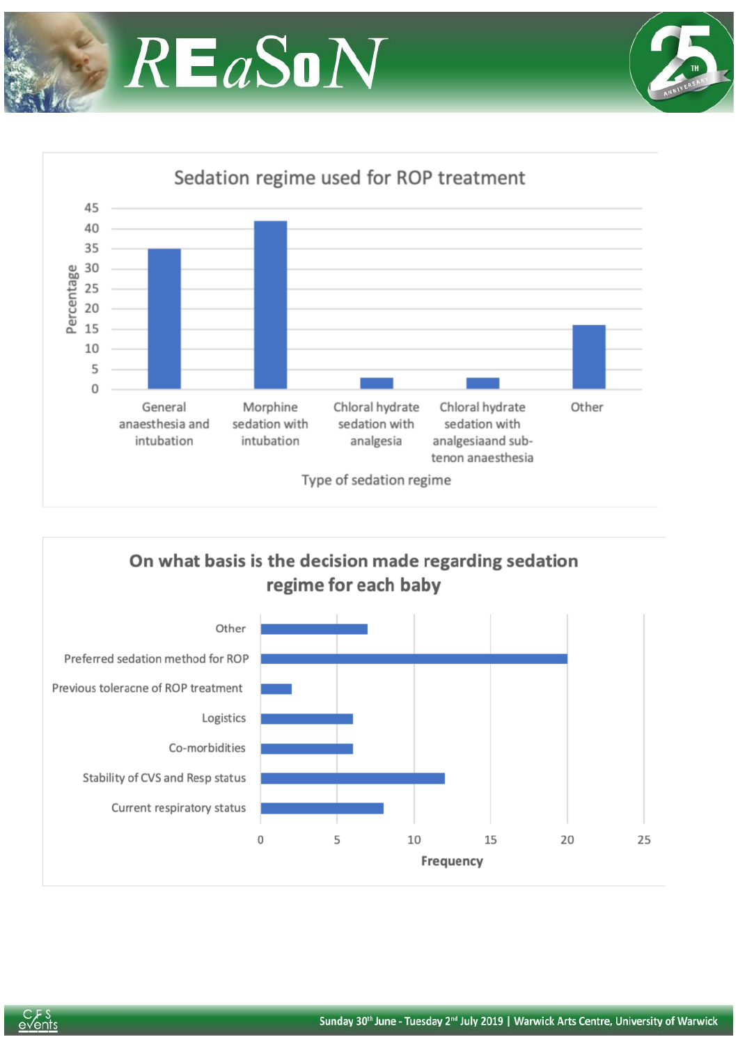









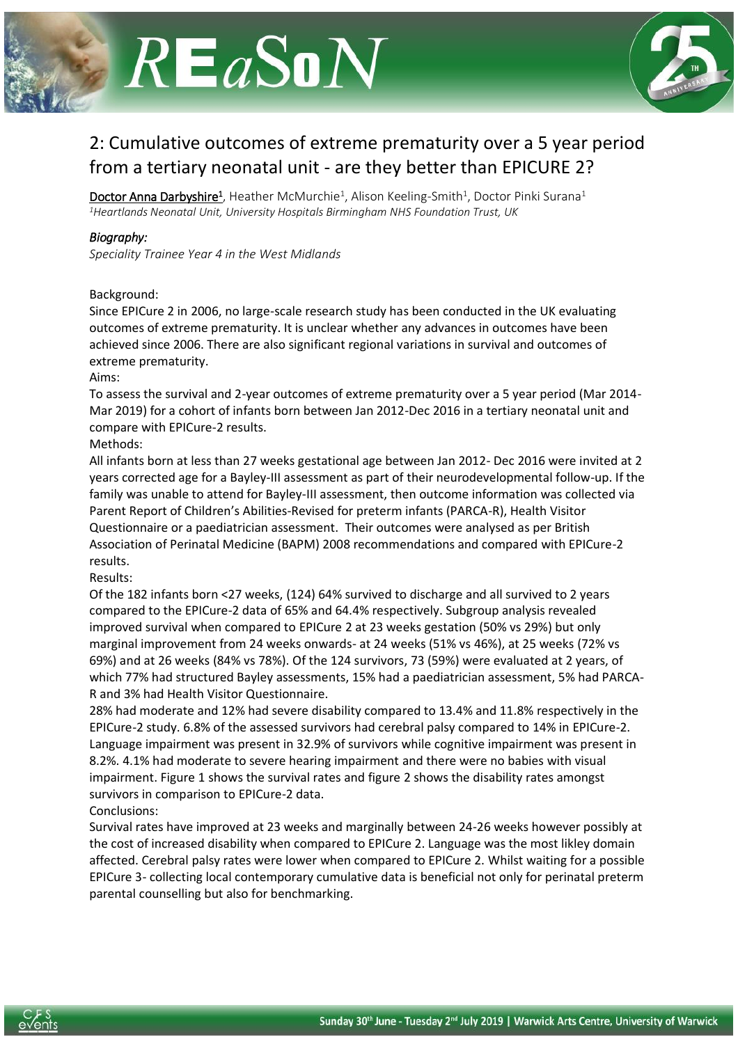



## 2: Cumulative outcomes of extreme prematurity over a 5 year period from a tertiary neonatal unit - are they better than EPICURE 2?

Doctor Anna Darbyshire<sup>1</sup>, Heather McMurchie<sup>1</sup>, Alison Keeling-Smith<sup>1</sup>, Doctor Pinki Surana<sup>1</sup> *<sup>1</sup>Heartlands Neonatal Unit, University Hospitals Birmingham NHS Foundation Trust, UK*

#### *Biography:*

*Speciality Trainee Year 4 in the West Midlands*

#### Background:

Since EPICure 2 in 2006, no large-scale research study has been conducted in the UK evaluating outcomes of extreme prematurity. It is unclear whether any advances in outcomes have been achieved since 2006. There are also significant regional variations in survival and outcomes of extreme prematurity.

#### Aims:

To assess the survival and 2-year outcomes of extreme prematurity over a 5 year period (Mar 2014- Mar 2019) for a cohort of infants born between Jan 2012-Dec 2016 in a tertiary neonatal unit and compare with EPICure-2 results.

#### Methods:

All infants born at less than 27 weeks gestational age between Jan 2012- Dec 2016 were invited at 2 years corrected age for a Bayley-III assessment as part of their neurodevelopmental follow-up. If the family was unable to attend for Bayley-III assessment, then outcome information was collected via Parent Report of Children's Abilities-Revised for preterm infants (PARCA-R), Health Visitor Questionnaire or a paediatrician assessment. Their outcomes were analysed as per British Association of Perinatal Medicine (BAPM) 2008 recommendations and compared with EPICure-2 results.

#### Results:

Of the 182 infants born <27 weeks, (124) 64% survived to discharge and all survived to 2 years compared to the EPICure-2 data of 65% and 64.4% respectively. Subgroup analysis revealed improved survival when compared to EPICure 2 at 23 weeks gestation (50% vs 29%) but only marginal improvement from 24 weeks onwards- at 24 weeks (51% vs 46%), at 25 weeks (72% vs 69%) and at 26 weeks (84% vs 78%). Of the 124 survivors, 73 (59%) were evaluated at 2 years, of which 77% had structured Bayley assessments, 15% had a paediatrician assessment, 5% had PARCA-R and 3% had Health Visitor Questionnaire.

28% had moderate and 12% had severe disability compared to 13.4% and 11.8% respectively in the EPICure-2 study. 6.8% of the assessed survivors had cerebral palsy compared to 14% in EPICure-2. Language impairment was present in 32.9% of survivors while cognitive impairment was present in 8.2%. 4.1% had moderate to severe hearing impairment and there were no babies with visual impairment. Figure 1 shows the survival rates and figure 2 shows the disability rates amongst survivors in comparison to EPICure-2 data.

## Conclusions:

Survival rates have improved at 23 weeks and marginally between 24-26 weeks however possibly at the cost of increased disability when compared to EPICure 2. Language was the most likley domain affected. Cerebral palsy rates were lower when compared to EPICure 2. Whilst waiting for a possible EPICure 3- collecting local contemporary cumulative data is beneficial not only for perinatal preterm parental counselling but also for benchmarking.

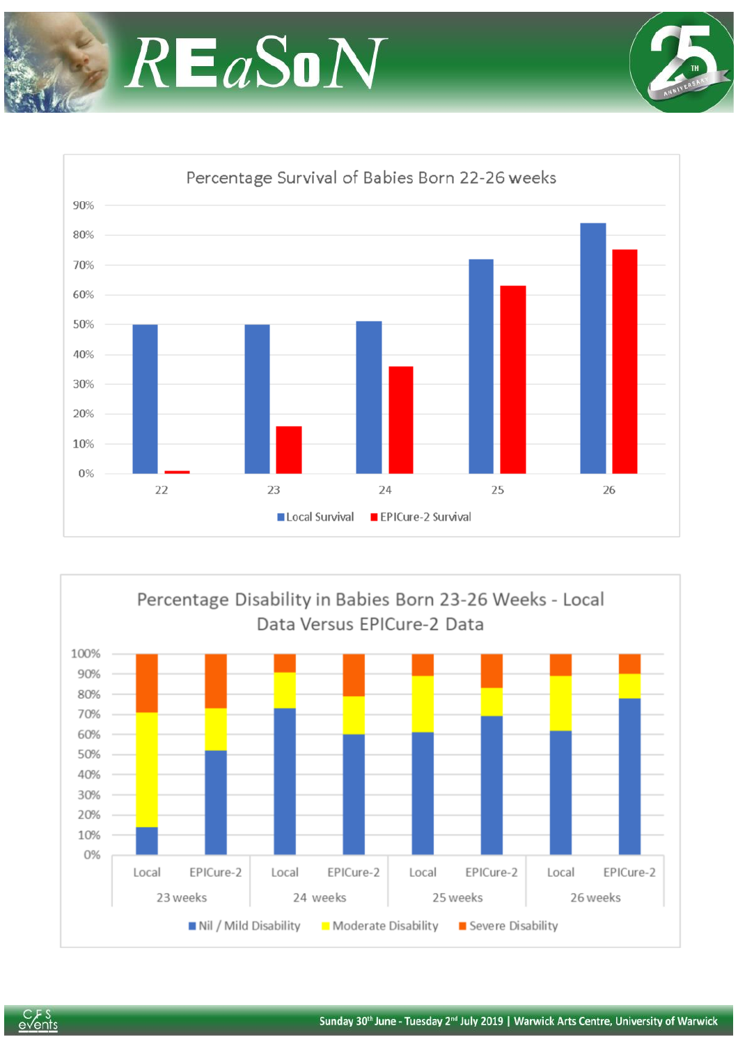





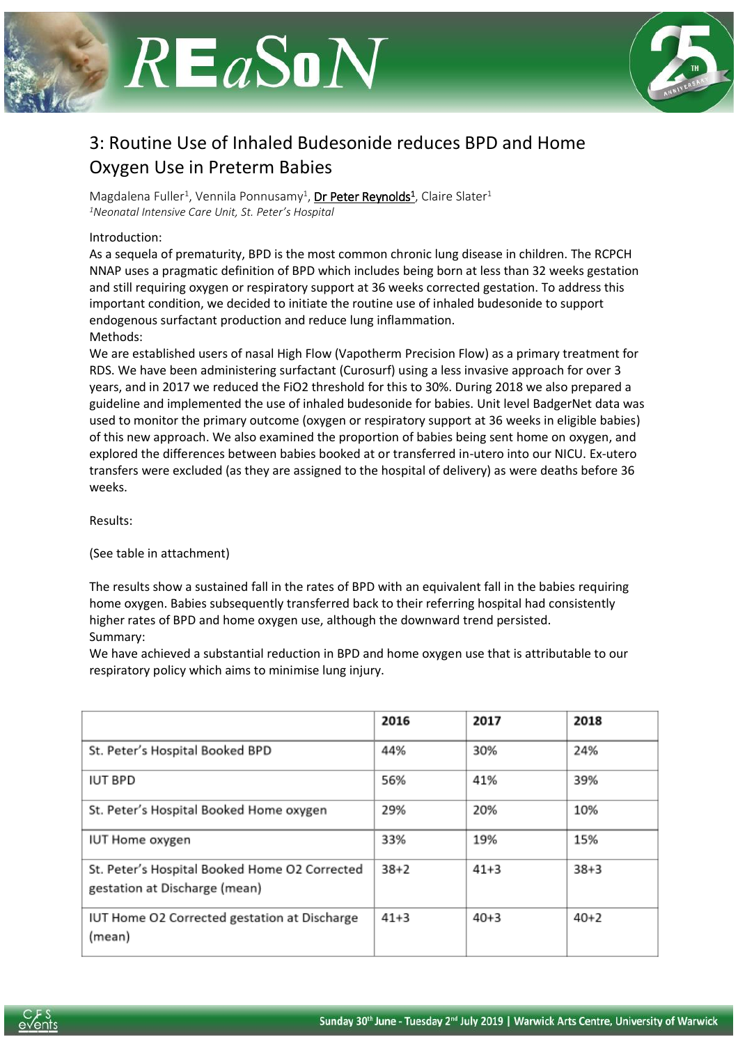



## 3: Routine Use of Inhaled Budesonide reduces BPD and Home Oxygen Use in Preterm Babies

Magdalena Fuller<sup>1</sup>, Vennila Ponnusamy<sup>1</sup>, **Dr Peter Reynolds<sup>1</sup>**, Claire Slater<sup>1</sup> *<sup>1</sup>Neonatal Intensive Care Unit, St. Peter's Hospital*

#### Introduction:

As a sequela of prematurity, BPD is the most common chronic lung disease in children. The RCPCH NNAP uses a pragmatic definition of BPD which includes being born at less than 32 weeks gestation and still requiring oxygen or respiratory support at 36 weeks corrected gestation. To address this important condition, we decided to initiate the routine use of inhaled budesonide to support endogenous surfactant production and reduce lung inflammation. Methods:

We are established users of nasal High Flow (Vapotherm Precision Flow) as a primary treatment for RDS. We have been administering surfactant (Curosurf) using a less invasive approach for over 3 years, and in 2017 we reduced the FiO2 threshold for this to 30%. During 2018 we also prepared a guideline and implemented the use of inhaled budesonide for babies. Unit level BadgerNet data was used to monitor the primary outcome (oxygen or respiratory support at 36 weeks in eligible babies) of this new approach. We also examined the proportion of babies being sent home on oxygen, and explored the differences between babies booked at or transferred in-utero into our NICU. Ex-utero transfers were excluded (as they are assigned to the hospital of delivery) as were deaths before 36 weeks.

Results:

(See table in attachment)

The results show a sustained fall in the rates of BPD with an equivalent fall in the babies requiring home oxygen. Babies subsequently transferred back to their referring hospital had consistently higher rates of BPD and home oxygen use, although the downward trend persisted. Summary:

We have achieved a substantial reduction in BPD and home oxygen use that is attributable to our respiratory policy which aims to minimise lung injury.

|                                                                                | 2016     | 2017     | 2018   |
|--------------------------------------------------------------------------------|----------|----------|--------|
| St. Peter's Hospital Booked BPD                                                | 44%      | 30%      | 24%    |
| <b>IUT BPD</b>                                                                 | 56%      | 41%      | 39%    |
| St. Peter's Hospital Booked Home oxygen                                        | 29%      | 20%      | 10%    |
| IUT Home oxygen                                                                | 33%      | 19%      | 15%    |
| St. Peter's Hospital Booked Home O2 Corrected<br>gestation at Discharge (mean) | $38+2$   | $41 + 3$ | $38+3$ |
| IUT Home O2 Corrected gestation at Discharge<br>(mean)                         | $41 + 3$ | $40 + 3$ | $40+2$ |

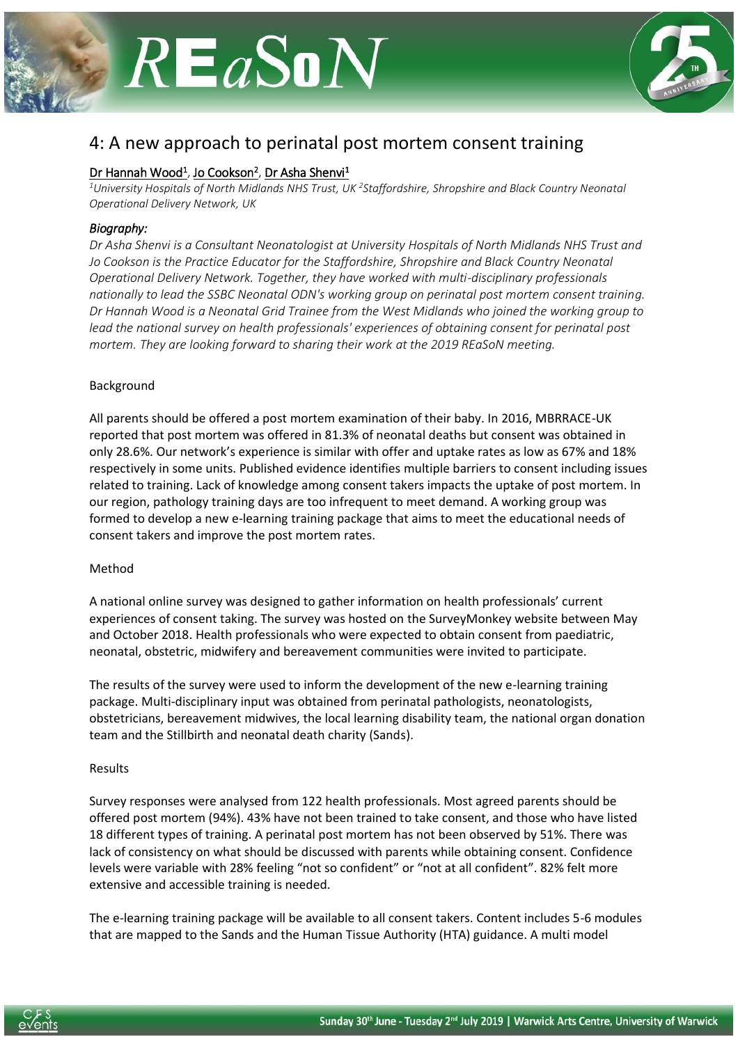



## 4: A new approach to perinatal post mortem consent training

## Dr Hannah Wood<sup>1</sup>, Jo Cookson<sup>2</sup>, Dr Asha Shenvi<sup>1</sup>

*<sup>1</sup>University Hospitals of North Midlands NHS Trust, UK <sup>2</sup>Staffordshire, Shropshire and Black Country Neonatal Operational Delivery Network, UK*

### *Biography:*

*Dr Asha Shenvi is a Consultant Neonatologist at University Hospitals of North Midlands NHS Trust and Jo Cookson is the Practice Educator for the Staffordshire, Shropshire and Black Country Neonatal Operational Delivery Network. Together, they have worked with multi-disciplinary professionals nationally to lead the SSBC Neonatal ODN's working group on perinatal post mortem consent training. Dr Hannah Wood is a Neonatal Grid Trainee from the West Midlands who joined the working group to lead the national survey on health professionals' experiences of obtaining consent for perinatal post mortem. They are looking forward to sharing their work at the 2019 REaSoN meeting.*

#### Background

All parents should be offered a post mortem examination of their baby. In 2016, MBRRACE-UK reported that post mortem was offered in 81.3% of neonatal deaths but consent was obtained in only 28.6%. Our network's experience is similar with offer and uptake rates as low as 67% and 18% respectively in some units. Published evidence identifies multiple barriers to consent including issues related to training. Lack of knowledge among consent takers impacts the uptake of post mortem. In our region, pathology training days are too infrequent to meet demand. A working group was formed to develop a new e-learning training package that aims to meet the educational needs of consent takers and improve the post mortem rates.

#### Method

A national online survey was designed to gather information on health professionals' current experiences of consent taking. The survey was hosted on the SurveyMonkey website between May and October 2018. Health professionals who were expected to obtain consent from paediatric, neonatal, obstetric, midwifery and bereavement communities were invited to participate.

The results of the survey were used to inform the development of the new e-learning training package. Multi-disciplinary input was obtained from perinatal pathologists, neonatologists, obstetricians, bereavement midwives, the local learning disability team, the national organ donation team and the Stillbirth and neonatal death charity (Sands).

#### Results

Survey responses were analysed from 122 health professionals. Most agreed parents should be offered post mortem (94%). 43% have not been trained to take consent, and those who have listed 18 different types of training. A perinatal post mortem has not been observed by 51%. There was lack of consistency on what should be discussed with parents while obtaining consent. Confidence levels were variable with 28% feeling "not so confident" or "not at all confident". 82% felt more extensive and accessible training is needed.

The e-learning training package will be available to all consent takers. Content includes 5-6 modules that are mapped to the Sands and the Human Tissue Authority (HTA) guidance. A multi model